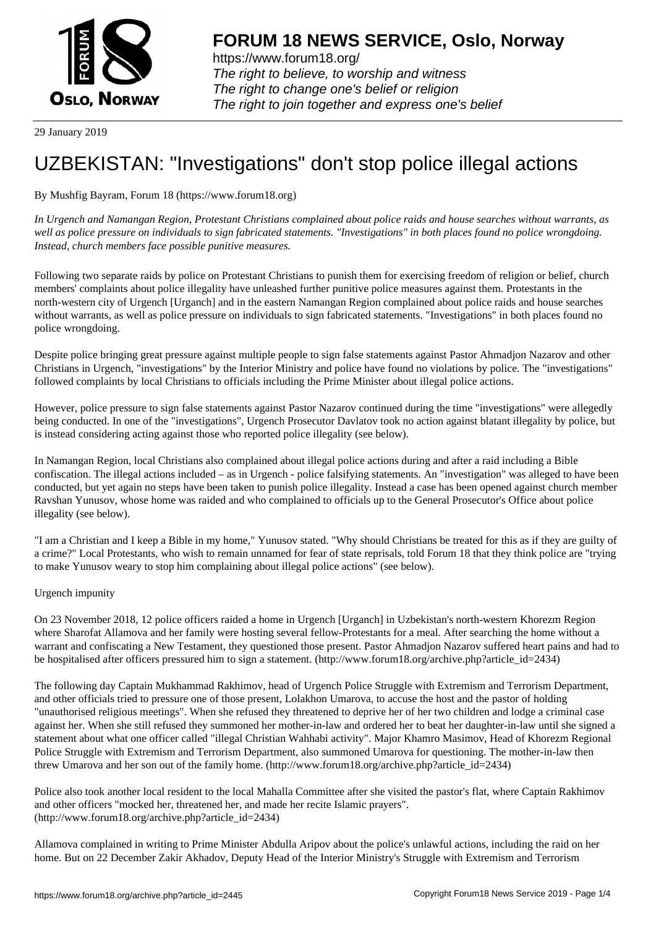

https://www.forum18.org/ The right to believe, to worship and witness The right to change one's belief or religion [The right to join together a](https://www.forum18.org/)nd express one's belief

29 January 2019

## [UZBEKISTAN:](https://www.forum18.org) "Investigations" don't stop police illegal actions

By Mushfig Bayram, Forum 18 (https://www.forum18.org)

*In Urgench and Namangan Region, Protestant Christians complained about police raids and house searches without warrants, as well as police pressure on individuals to sign fabricated statements. "Investigations" in both places found no police wrongdoing. Instead, church members face possible punitive measures.*

Following two separate raids by police on Protestant Christians to punish them for exercising freedom of religion or belief, church members' complaints about police illegality have unleashed further punitive police measures against them. Protestants in the north-western city of Urgench [Urganch] and in the eastern Namangan Region complained about police raids and house searches without warrants, as well as police pressure on individuals to sign fabricated statements. "Investigations" in both places found no police wrongdoing.

Despite police bringing great pressure against multiple people to sign false statements against Pastor Ahmadjon Nazarov and other Christians in Urgench, "investigations" by the Interior Ministry and police have found no violations by police. The "investigations" followed complaints by local Christians to officials including the Prime Minister about illegal police actions.

However, police pressure to sign false statements against Pastor Nazarov continued during the time "investigations" were allegedly being conducted. In one of the "investigations", Urgench Prosecutor Davlatov took no action against blatant illegality by police, but is instead considering acting against those who reported police illegality (see below).

In Namangan Region, local Christians also complained about illegal police actions during and after a raid including a Bible confiscation. The illegal actions included – as in Urgench - police falsifying statements. An "investigation" was alleged to have been conducted, but yet again no steps have been taken to punish police illegality. Instead a case has been opened against church member Ravshan Yunusov, whose home was raided and who complained to officials up to the General Prosecutor's Office about police illegality (see below).

"I am a Christian and I keep a Bible in my home," Yunusov stated. "Why should Christians be treated for this as if they are guilty of a crime?" Local Protestants, who wish to remain unnamed for fear of state reprisals, told Forum 18 that they think police are "trying to make Yunusov weary to stop him complaining about illegal police actions" (see below).

## Urgench impunity

On 23 November 2018, 12 police officers raided a home in Urgench [Urganch] in Uzbekistan's north-western Khorezm Region where Sharofat Allamova and her family were hosting several fellow-Protestants for a meal. After searching the home without a warrant and confiscating a New Testament, they questioned those present. Pastor Ahmadjon Nazarov suffered heart pains and had to be hospitalised after officers pressured him to sign a statement. (http://www.forum18.org/archive.php?article\_id=2434)

The following day Captain Mukhammad Rakhimov, head of Urgench Police Struggle with Extremism and Terrorism Department, and other officials tried to pressure one of those present, Lolakhon Umarova, to accuse the host and the pastor of holding "unauthorised religious meetings". When she refused they threatened to deprive her of her two children and lodge a criminal case against her. When she still refused they summoned her mother-in-law and ordered her to beat her daughter-in-law until she signed a statement about what one officer called "illegal Christian Wahhabi activity". Major Khamro Masimov, Head of Khorezm Regional Police Struggle with Extremism and Terrorism Department, also summoned Umarova for questioning. The mother-in-law then threw Umarova and her son out of the family home. (http://www.forum18.org/archive.php?article\_id=2434)

Police also took another local resident to the local Mahalla Committee after she visited the pastor's flat, where Captain Rakhimov and other officers "mocked her, threatened her, and made her recite Islamic prayers". (http://www.forum18.org/archive.php?article\_id=2434)

Allamova complained in writing to Prime Minister Abdulla Aripov about the police's unlawful actions, including the raid on her home. But on 22 December Zakir Akhadov, Deputy Head of the Interior Ministry's Struggle with Extremism and Terrorism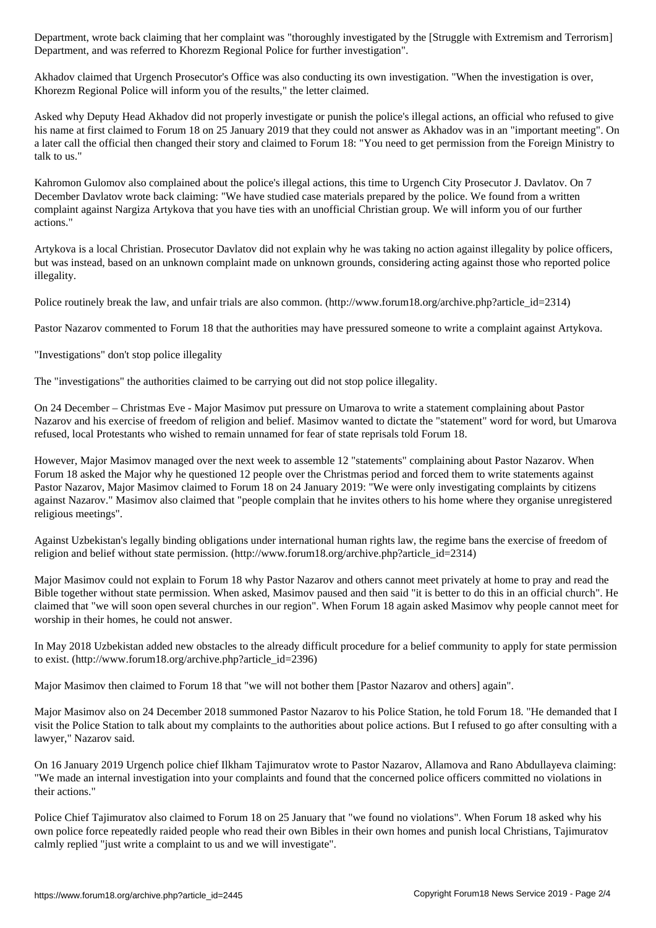Department, and was referred to Khorezm Regional Police for further investigation".

Akhadov claimed that Urgench Prosecutor's Office was also conducting its own investigation. "When the investigation is over, Khorezm Regional Police will inform you of the results," the letter claimed.

Asked why Deputy Head Akhadov did not properly investigate or punish the police's illegal actions, an official who refused to give his name at first claimed to Forum 18 on 25 January 2019 that they could not answer as Akhadov was in an "important meeting". On a later call the official then changed their story and claimed to Forum 18: "You need to get permission from the Foreign Ministry to talk to us."

Kahromon Gulomov also complained about the police's illegal actions, this time to Urgench City Prosecutor J. Davlatov. On 7 December Davlatov wrote back claiming: "We have studied case materials prepared by the police. We found from a written complaint against Nargiza Artykova that you have ties with an unofficial Christian group. We will inform you of our further actions."

Artykova is a local Christian. Prosecutor Davlatov did not explain why he was taking no action against illegality by police officers, but was instead, based on an unknown complaint made on unknown grounds, considering acting against those who reported police illegality.

Police routinely break the law, and unfair trials are also common. (http://www.forum18.org/archive.php?article\_id=2314)

Pastor Nazarov commented to Forum 18 that the authorities may have pressured someone to write a complaint against Artykova.

"Investigations" don't stop police illegality

The "investigations" the authorities claimed to be carrying out did not stop police illegality.

On 24 December – Christmas Eve - Major Masimov put pressure on Umarova to write a statement complaining about Pastor Nazarov and his exercise of freedom of religion and belief. Masimov wanted to dictate the "statement" word for word, but Umarova refused, local Protestants who wished to remain unnamed for fear of state reprisals told Forum 18.

However, Major Masimov managed over the next week to assemble 12 "statements" complaining about Pastor Nazarov. When Forum 18 asked the Major why he questioned 12 people over the Christmas period and forced them to write statements against Pastor Nazarov, Major Masimov claimed to Forum 18 on 24 January 2019: "We were only investigating complaints by citizens against Nazarov." Masimov also claimed that "people complain that he invites others to his home where they organise unregistered religious meetings".

Against Uzbekistan's legally binding obligations under international human rights law, the regime bans the exercise of freedom of religion and belief without state permission. (http://www.forum18.org/archive.php?article\_id=2314)

Major Masimov could not explain to Forum 18 why Pastor Nazarov and others cannot meet privately at home to pray and read the Bible together without state permission. When asked, Masimov paused and then said "it is better to do this in an official church". He claimed that "we will soon open several churches in our region". When Forum 18 again asked Masimov why people cannot meet for worship in their homes, he could not answer.

In May 2018 Uzbekistan added new obstacles to the already difficult procedure for a belief community to apply for state permission to exist. (http://www.forum18.org/archive.php?article\_id=2396)

Major Masimov then claimed to Forum 18 that "we will not bother them [Pastor Nazarov and others] again".

Major Masimov also on 24 December 2018 summoned Pastor Nazarov to his Police Station, he told Forum 18. "He demanded that I visit the Police Station to talk about my complaints to the authorities about police actions. But I refused to go after consulting with a lawyer," Nazarov said.

On 16 January 2019 Urgench police chief Ilkham Tajimuratov wrote to Pastor Nazarov, Allamova and Rano Abdullayeva claiming: "We made an internal investigation into your complaints and found that the concerned police officers committed no violations in their actions."

Police Chief Tajimuratov also claimed to Forum 18 on 25 January that "we found no violations". When Forum 18 asked why his own police force repeatedly raided people who read their own Bibles in their own homes and punish local Christians, Tajimuratov calmly replied "just write a complaint to us and we will investigate".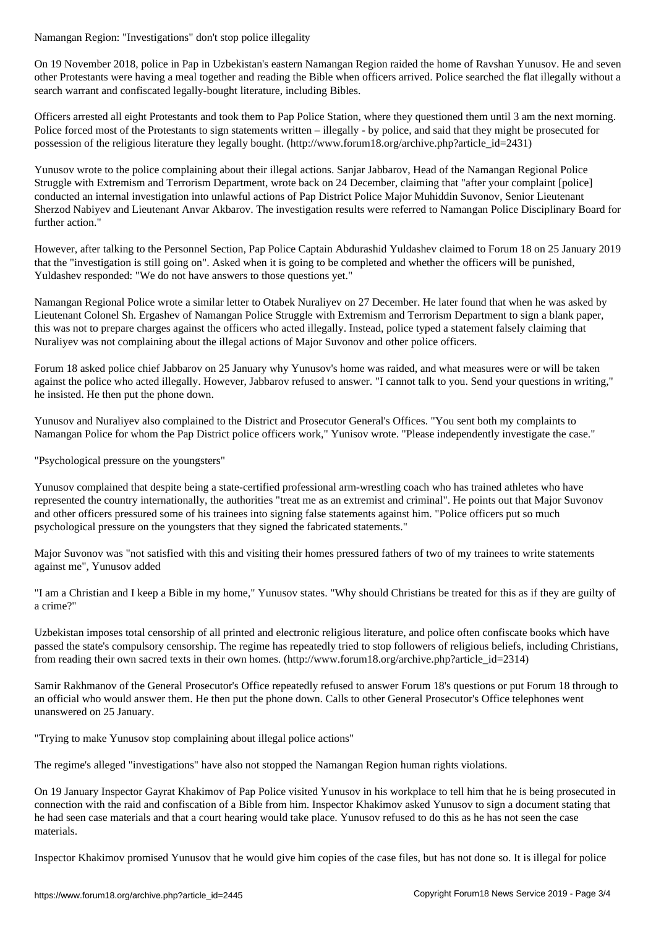On 19 November 2018, police in Pap in Uzbekistan's eastern Namangan Region raided the home of Ravshan Yunusov. He and seven other Protestants were having a meal together and reading the Bible when officers arrived. Police searched the flat illegally without a search warrant and confiscated legally-bought literature, including Bibles.

Officers arrested all eight Protestants and took them to Pap Police Station, where they questioned them until 3 am the next morning. Police forced most of the Protestants to sign statements written – illegally - by police, and said that they might be prosecuted for possession of the religious literature they legally bought. (http://www.forum18.org/archive.php?article\_id=2431)

Yunusov wrote to the police complaining about their illegal actions. Sanjar Jabbarov, Head of the Namangan Regional Police Struggle with Extremism and Terrorism Department, wrote back on 24 December, claiming that "after your complaint [police] conducted an internal investigation into unlawful actions of Pap District Police Major Muhiddin Suvonov, Senior Lieutenant Sherzod Nabiyev and Lieutenant Anvar Akbarov. The investigation results were referred to Namangan Police Disciplinary Board for further action."

However, after talking to the Personnel Section, Pap Police Captain Abdurashid Yuldashev claimed to Forum 18 on 25 January 2019 that the "investigation is still going on". Asked when it is going to be completed and whether the officers will be punished, Yuldashev responded: "We do not have answers to those questions yet."

Namangan Regional Police wrote a similar letter to Otabek Nuraliyev on 27 December. He later found that when he was asked by Lieutenant Colonel Sh. Ergashev of Namangan Police Struggle with Extremism and Terrorism Department to sign a blank paper, this was not to prepare charges against the officers who acted illegally. Instead, police typed a statement falsely claiming that Nuraliyev was not complaining about the illegal actions of Major Suvonov and other police officers.

Forum 18 asked police chief Jabbarov on 25 January why Yunusov's home was raided, and what measures were or will be taken against the police who acted illegally. However, Jabbarov refused to answer. "I cannot talk to you. Send your questions in writing," he insisted. He then put the phone down.

Yunusov and Nuraliyev also complained to the District and Prosecutor General's Offices. "You sent both my complaints to Namangan Police for whom the Pap District police officers work," Yunisov wrote. "Please independently investigate the case."

"Psychological pressure on the youngsters"

Yunusov complained that despite being a state-certified professional arm-wrestling coach who has trained athletes who have represented the country internationally, the authorities "treat me as an extremist and criminal". He points out that Major Suvonov and other officers pressured some of his trainees into signing false statements against him. "Police officers put so much psychological pressure on the youngsters that they signed the fabricated statements."

Major Suvonov was "not satisfied with this and visiting their homes pressured fathers of two of my trainees to write statements against me", Yunusov added

"I am a Christian and I keep a Bible in my home," Yunusov states. "Why should Christians be treated for this as if they are guilty of a crime?"

Uzbekistan imposes total censorship of all printed and electronic religious literature, and police often confiscate books which have passed the state's compulsory censorship. The regime has repeatedly tried to stop followers of religious beliefs, including Christians, from reading their own sacred texts in their own homes. (http://www.forum18.org/archive.php?article\_id=2314)

Samir Rakhmanov of the General Prosecutor's Office repeatedly refused to answer Forum 18's questions or put Forum 18 through to an official who would answer them. He then put the phone down. Calls to other General Prosecutor's Office telephones went unanswered on 25 January.

"Trying to make Yunusov stop complaining about illegal police actions"

The regime's alleged "investigations" have also not stopped the Namangan Region human rights violations.

On 19 January Inspector Gayrat Khakimov of Pap Police visited Yunusov in his workplace to tell him that he is being prosecuted in connection with the raid and confiscation of a Bible from him. Inspector Khakimov asked Yunusov to sign a document stating that he had seen case materials and that a court hearing would take place. Yunusov refused to do this as he has not seen the case materials.

Inspector Khakimov promised Yunusov that he would give him copies of the case files, but has not done so. It is illegal for police